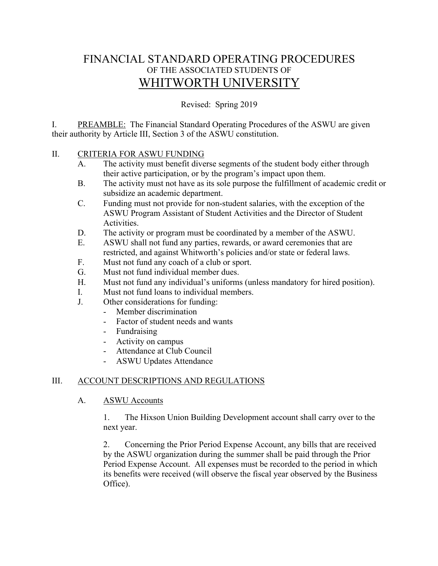# FINANCIAL STANDARD OPERATING PROCEDURES OF THE ASSOCIATED STUDENTS OF WHITWORTH UNIVERSITY

Revised: Spring 2019

I. PREAMBLE: The Financial Standard Operating Procedures of the ASWU are given their authority by Article III, Section 3 of the ASWU constitution.

## II. CRITERIA FOR ASWU FUNDING

- A. The activity must benefit diverse segments of the student body either through their active participation, or by the program's impact upon them.
- B. The activity must not have as its sole purpose the fulfillment of academic credit or subsidize an academic department.
- C. Funding must not provide for non-student salaries, with the exception of the ASWU Program Assistant of Student Activities and the Director of Student Activities.
- D. The activity or program must be coordinated by a member of the ASWU.
- E. ASWU shall not fund any parties, rewards, or award ceremonies that are restricted, and against Whitworth's policies and/or state or federal laws.
- F. Must not fund any coach of a club or sport.
- G. Must not fund individual member dues.
- H. Must not fund any individual's uniforms (unless mandatory for hired position).
- I. Must not fund loans to individual members.
- J. Other considerations for funding:
	- Member discrimination
	- Factor of student needs and wants
	- Fundraising
	- Activity on campus
	- Attendance at Club Council
	- ASWU Updates Attendance

## III. ACCOUNT DESCRIPTIONS AND REGULATIONS

#### A. ASWU Accounts

1. The Hixson Union Building Development account shall carry over to the next year.

2. Concerning the Prior Period Expense Account, any bills that are received by the ASWU organization during the summer shall be paid through the Prior Period Expense Account. All expenses must be recorded to the period in which its benefits were received (will observe the fiscal year observed by the Business Office).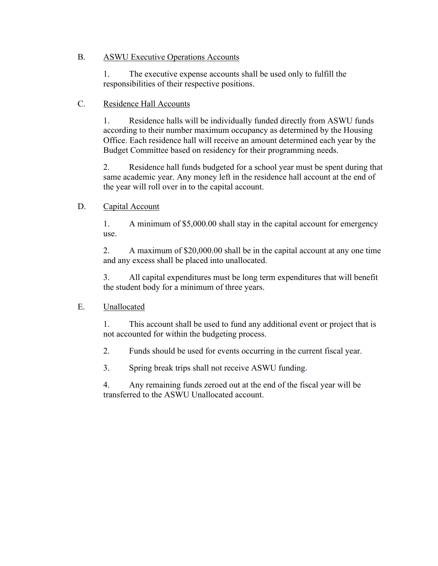#### B. ASWU Executive Operations Accounts

1. The executive expense accounts shall be used only to fulfill the responsibilities of their respective positions.

## C. Residence Hall Accounts

1. Residence halls will be individually funded directly from ASWU funds according to their number maximum occupancy as determined by the Housing Office. Each residence hall will receive an amount determined each year by the Budget Committee based on residency for their programming needs.

2. Residence hall funds budgeted for a school year must be spent during that same academic year. Any money left in the residence hall account at the end of the year will roll over in to the capital account.

# D. Capital Account

1. A minimum of \$5,000.00 shall stay in the capital account for emergency use.

2. A maximum of \$20,000.00 shall be in the capital account at any one time and any excess shall be placed into unallocated.

3. All capital expenditures must be long term expenditures that will benefit the student body for a minimum of three years.

## E. Unallocated

1. This account shall be used to fund any additional event or project that is not accounted for within the budgeting process.

2. Funds should be used for events occurring in the current fiscal year.

3. Spring break trips shall not receive ASWU funding**.**

4. Any remaining funds zeroed out at the end of the fiscal year will be transferred to the ASWU Unallocated account.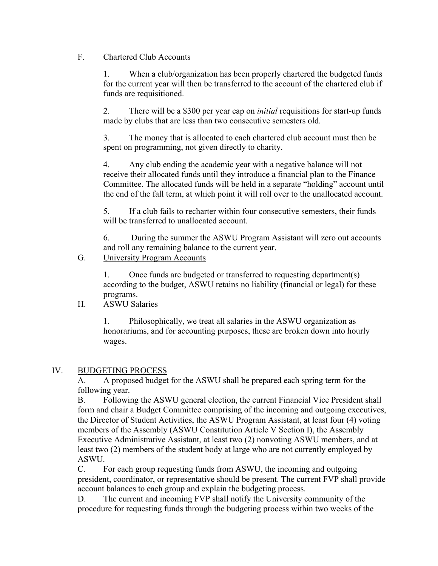#### F. Chartered Club Accounts

1. When a club/organization has been properly chartered the budgeted funds for the current year will then be transferred to the account of the chartered club if funds are requisitioned.

2. There will be a \$300 per year cap on *initial* requisitions for start-up funds made by clubs that are less than two consecutive semesters old.

3. The money that is allocated to each chartered club account must then be spent on programming, not given directly to charity.

4. Any club ending the academic year with a negative balance will not receive their allocated funds until they introduce a financial plan to the Finance Committee. The allocated funds will be held in a separate "holding" account until the end of the fall term, at which point it will roll over to the unallocated account.

5. If a club fails to recharter within four consecutive semesters, their funds will be transferred to unallocated account.

6. During the summer the ASWU Program Assistant will zero out accounts and roll any remaining balance to the current year.

#### G. University Program Accounts

1. Once funds are budgeted or transferred to requesting department(s) according to the budget, ASWU retains no liability (financial or legal) for these programs.

## H. ASWU Salaries

1. Philosophically, we treat all salaries in the ASWU organization as honorariums, and for accounting purposes, these are broken down into hourly wages.

#### IV. BUDGETING PROCESS

A. A proposed budget for the ASWU shall be prepared each spring term for the following year.

B. Following the ASWU general election, the current Financial Vice President shall form and chair a Budget Committee comprising of the incoming and outgoing executives, the Director of Student Activities, the ASWU Program Assistant, at least four (4) voting members of the Assembly (ASWU Constitution Article V Section I), the Assembly Executive Administrative Assistant, at least two (2) nonvoting ASWU members, and at least two (2) members of the student body at large who are not currently employed by ASWU.

C. For each group requesting funds from ASWU, the incoming and outgoing president, coordinator, or representative should be present. The current FVP shall provide account balances to each group and explain the budgeting process.

D. The current and incoming FVP shall notify the University community of the procedure for requesting funds through the budgeting process within two weeks of the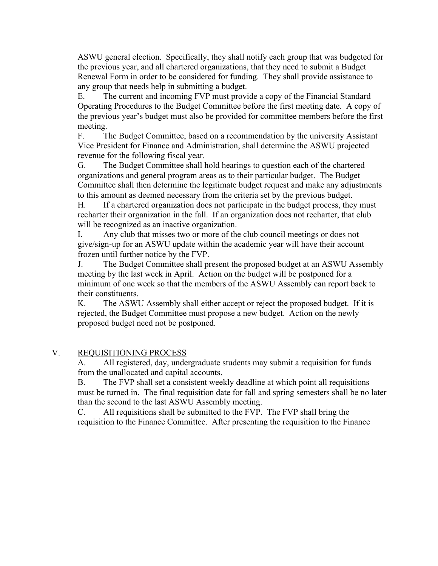ASWU general election. Specifically, they shall notify each group that was budgeted for the previous year, and all chartered organizations, that they need to submit a Budget Renewal Form in order to be considered for funding. They shall provide assistance to any group that needs help in submitting a budget.

E. The current and incoming FVP must provide a copy of the Financial Standard Operating Procedures to the Budget Committee before the first meeting date. A copy of the previous year's budget must also be provided for committee members before the first meeting.

F. The Budget Committee, based on a recommendation by the university Assistant Vice President for Finance and Administration, shall determine the ASWU projected revenue for the following fiscal year.

G. The Budget Committee shall hold hearings to question each of the chartered organizations and general program areas as to their particular budget. The Budget Committee shall then determine the legitimate budget request and make any adjustments to this amount as deemed necessary from the criteria set by the previous budget.

H. If a chartered organization does not participate in the budget process, they must recharter their organization in the fall. If an organization does not recharter, that club will be recognized as an inactive organization.

I. Any club that misses two or more of the club council meetings or does not give/sign-up for an ASWU update within the academic year will have their account frozen until further notice by the FVP.

J. The Budget Committee shall present the proposed budget at an ASWU Assembly meeting by the last week in April. Action on the budget will be postponed for a minimum of one week so that the members of the ASWU Assembly can report back to their constituents.

K. The ASWU Assembly shall either accept or reject the proposed budget. If it is rejected, the Budget Committee must propose a new budget. Action on the newly proposed budget need not be postponed.

## V. REQUISITIONING PROCESS

A. All registered, day, undergraduate students may submit a requisition for funds from the unallocated and capital accounts.

B. The FVP shall set a consistent weekly deadline at which point all requisitions must be turned in. The final requisition date for fall and spring semesters shall be no later than the second to the last ASWU Assembly meeting.

C. All requisitions shall be submitted to the FVP. The FVP shall bring the requisition to the Finance Committee. After presenting the requisition to the Finance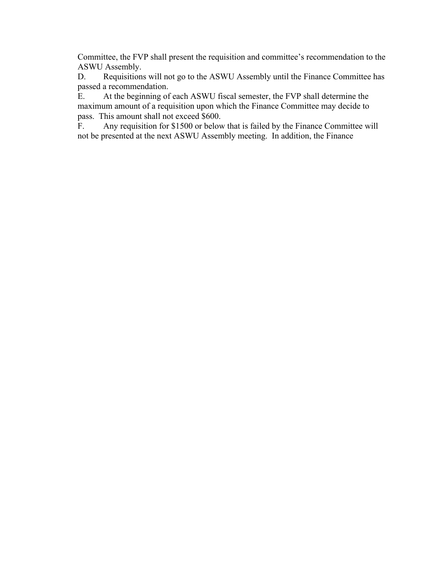Committee, the FVP shall present the requisition and committee's recommendation to the ASWU Assembly.

D. Requisitions will not go to the ASWU Assembly until the Finance Committee has passed a recommendation.

E. At the beginning of each ASWU fiscal semester, the FVP shall determine the maximum amount of a requisition upon which the Finance Committee may decide to pass. This amount shall not exceed \$600.

F. Any requisition for \$1500 or below that is failed by the Finance Committee will not be presented at the next ASWU Assembly meeting. In addition, the Finance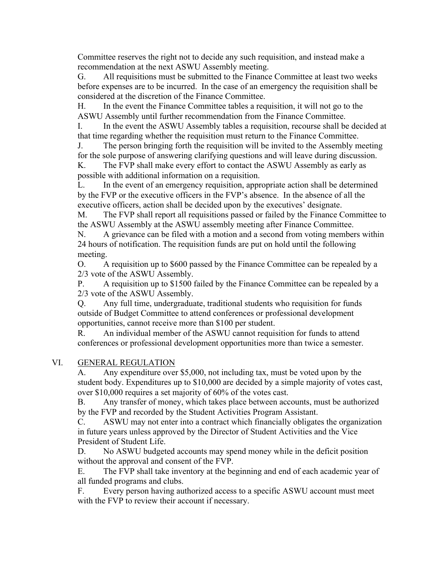Committee reserves the right not to decide any such requisition, and instead make a recommendation at the next ASWU Assembly meeting.

G. All requisitions must be submitted to the Finance Committee at least two weeks before expenses are to be incurred. In the case of an emergency the requisition shall be considered at the discretion of the Finance Committee.

H. In the event the Finance Committee tables a requisition, it will not go to the ASWU Assembly until further recommendation from the Finance Committee.

I. In the event the ASWU Assembly tables a requisition, recourse shall be decided at that time regarding whether the requisition must return to the Finance Committee.

J. The person bringing forth the requisition will be invited to the Assembly meeting for the sole purpose of answering clarifying questions and will leave during discussion. K. The FVP shall make every effort to contact the ASWU Assembly as early as

possible with additional information on a requisition.

L. In the event of an emergency requisition, appropriate action shall be determined by the FVP or the executive officers in the FVP's absence. In the absence of all the executive officers, action shall be decided upon by the executives' designate.

M. The FVP shall report all requisitions passed or failed by the Finance Committee to the ASWU Assembly at the ASWU assembly meeting after Finance Committee.

N. A grievance can be filed with a motion and a second from voting members within 24 hours of notification. The requisition funds are put on hold until the following meeting.

O. A requisition up to \$600 passed by the Finance Committee can be repealed by a 2/3 vote of the ASWU Assembly.

P. A requisition up to \$1500 failed by the Finance Committee can be repealed by a 2/3 vote of the ASWU Assembly.

Q. Any full time, undergraduate, traditional students who requisition for funds outside of Budget Committee to attend conferences or professional development opportunities, cannot receive more than \$100 per student.

R. An individual member of the ASWU cannot requisition for funds to attend conferences or professional development opportunities more than twice a semester.

## VI. GENERAL REGULATION

A. Any expenditure over \$5,000, not including tax, must be voted upon by the student body. Expenditures up to \$10,000 are decided by a simple majority of votes cast, over \$10,000 requires a set majority of 60% of the votes cast.

B. Any transfer of money, which takes place between accounts, must be authorized by the FVP and recorded by the Student Activities Program Assistant.

C. ASWU may not enter into a contract which financially obligates the organization in future years unless approved by the Director of Student Activities and the Vice President of Student Life.

D. No ASWU budgeted accounts may spend money while in the deficit position without the approval and consent of the FVP.

E. The FVP shall take inventory at the beginning and end of each academic year of all funded programs and clubs.

F. Every person having authorized access to a specific ASWU account must meet with the FVP to review their account if necessary.